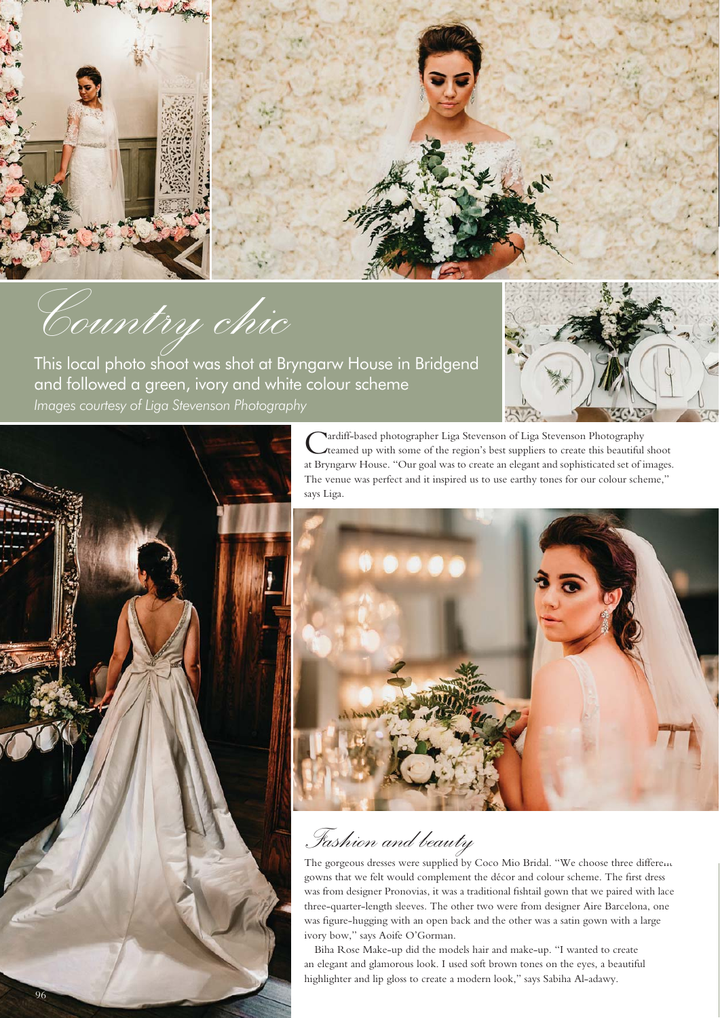



*Country chic*

This local photo shoot was shot at Bryngarw House in Bridgend and followed a green, ivory and white colour scheme *Images courtesy of Liga Stevenson Photography*







*Fashion and beauty*

The gorgeous dresses were supplied by Coco Mio Bridal. "We choose three different gowns that we felt would complement the décor and colour scheme. The first dress was from designer Pronovias, it was a traditional fishtail gown that we paired with lace three-quarter-length sleeves. The other two were from designer Aire Barcelona, one was figure-hugging with an open back and the other was a satin gown with a large ivory bow," says Aoife O'Gorman.

Biha Rose Make-up did the models hair and make-up. "I wanted to create an elegant and glamorous look. I used soft brown tones on the eyes, a beautiful highlighter and lip gloss to create a modern look," says Sabiha Al-adawy.